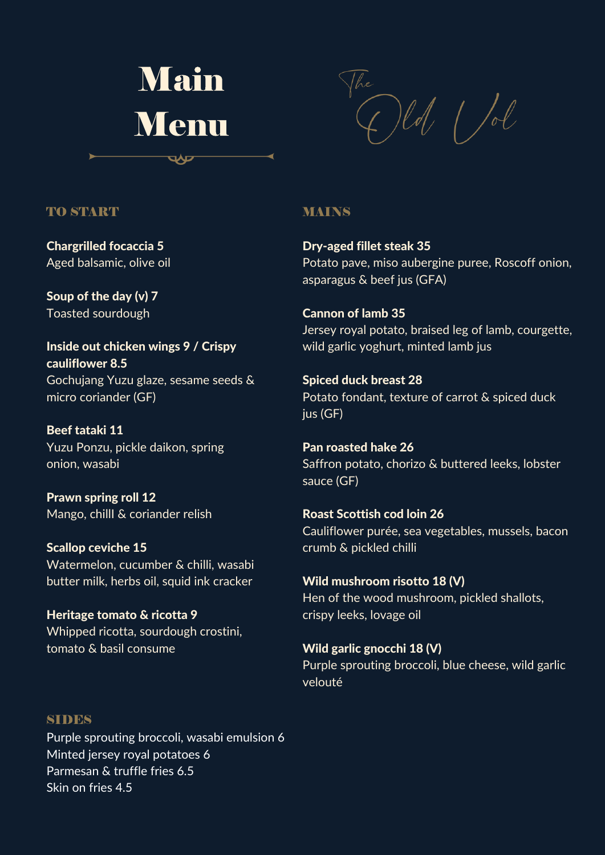

 $\int d\theta$  /d

### TO START

Chargrilled focaccia 5 Aged balsamic, olive oil

Soup of the day (v) 7 Toasted sourdough

Inside out chicken wings 9 / Crispy cauliflower 8.5 Gochujang Yuzu glaze, sesame seeds & micro coriander (GF)

Beef tataki 11 Yuzu Ponzu, pickle daikon, spring onion, wasabi

Prawn spring roll 12 Mango, chillI & coriander relish

Scallop ceviche 15 Watermelon, cucumber & chilli, wasabi butter milk, herbs oil, squid ink cracker

Heritage tomato & ricotta 9 Whipped ricotta, sourdough crostini, tomato & basil consume

#### MAINS

Dry-aged fillet steak 35 Potato pave, miso aubergine puree, Roscoff onion, asparagus & beef jus (GFA)

Cannon of lamb 35 Jersey royal potato, braised leg of lamb, courgette, wild garlic yoghurt, minted lamb jus

Spiced duck breast 28 Potato fondant, texture of carrot & spiced duck jus (GF)

Pan roasted hake 26 Saffron potato, chorizo & buttered leeks, lobster sauce (GF)

Roast Scottish cod loin 26 Cauliflower purée, sea vegetables, mussels, bacon crumb & pickled chilli

Wild mushroom risotto 18 (V) Hen of the wood mushroom, pickled shallots, crispy leeks, lovage oil

Wild garlic gnocchi 18 (V) Purple sprouting broccoli, blue cheese, wild garlic velouté

#### **SIDES**

Purple sprouting broccoli, wasabi emulsion 6 Minted jersey royal potatoes 6 Parmesan & truffle fries 6.5 Skin on fries 4.5